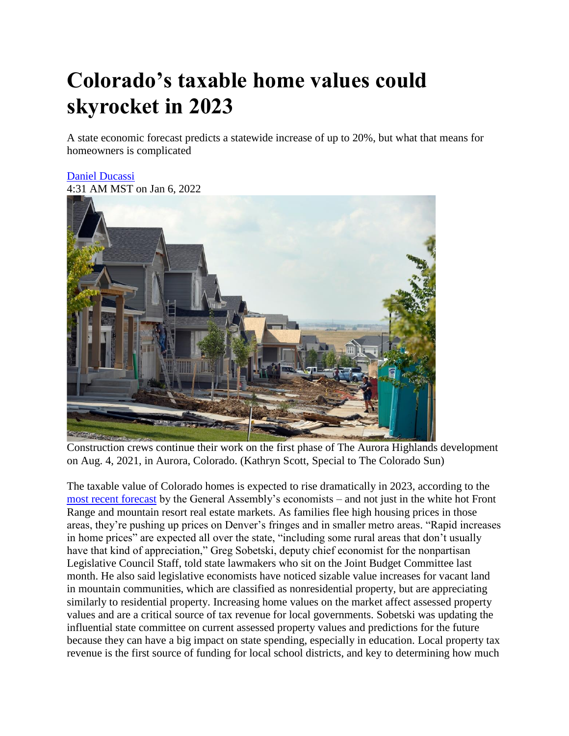## **Colorado's taxable home values could skyrocket in 2023**

A state economic forecast predicts a statewide increase of up to 20%, but what that means for homeowners is complicated

## [Daniel Ducassi](https://coloradosun.com/author/daniel-ducassi/)

4:31 AM MST on Jan 6, 2022



Construction crews continue their work on the first phase of The Aurora Highlands development on Aug. 4, 2021, in Aurora, Colorado. (Kathryn Scott, Special to The Colorado Sun)

The taxable value of Colorado homes is expected to rise dramatically in 2023, according to the [most recent forecast](https://leg.colorado.gov/sites/default/files/images/december2021forecast.pdf#page=49) by the General Assembly's economists – and not just in the white hot Front Range and mountain resort real estate markets. As families flee high housing prices in those areas, they're pushing up prices on Denver's fringes and in smaller metro areas. "Rapid increases in home prices" are expected all over the state, "including some rural areas that don't usually have that kind of appreciation," Greg Sobetski, deputy chief economist for the nonpartisan Legislative Council Staff, told state lawmakers who sit on the Joint Budget Committee last month. He also said legislative economists have noticed sizable value increases for vacant land in mountain communities, which are classified as nonresidential property, but are appreciating similarly to residential property. Increasing home values on the market affect assessed property values and are a critical source of tax revenue for local governments. Sobetski was updating the influential state committee on current assessed property values and predictions for the future because they can have a big impact on state spending, especially in education. Local property tax revenue is the first source of funding for local school districts, and key to determining how much